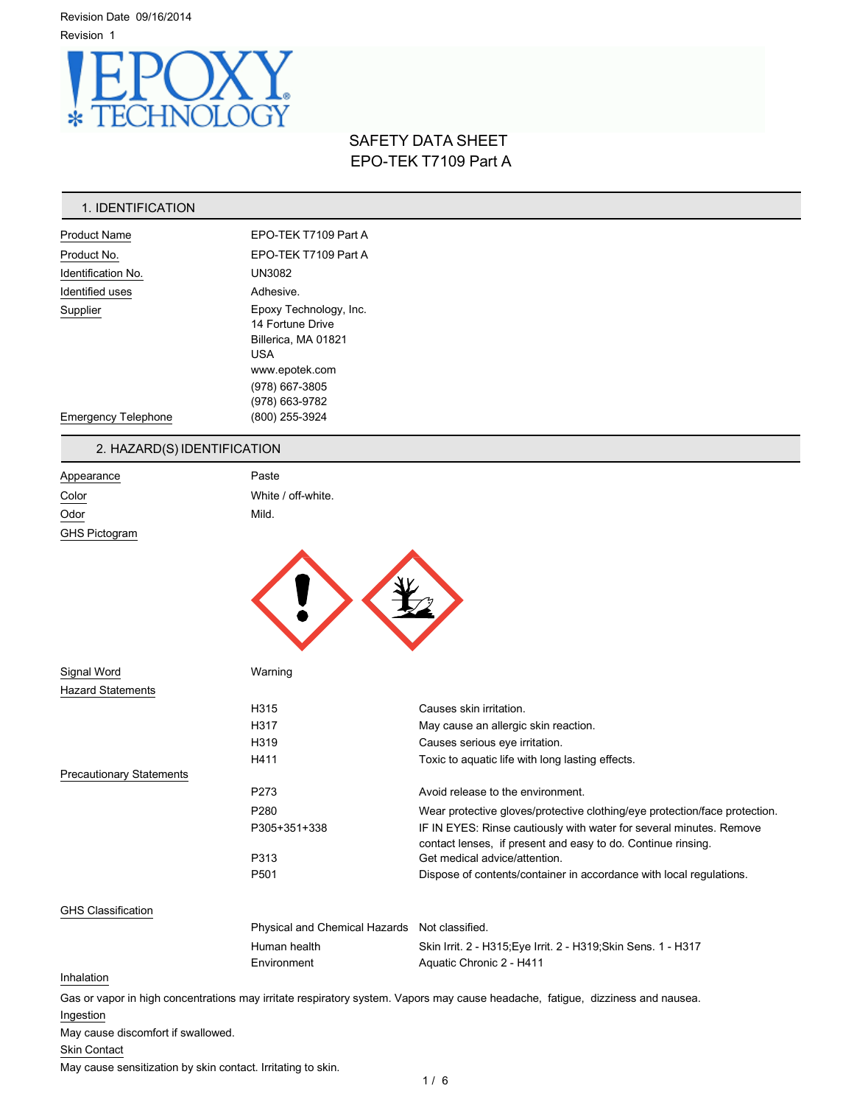

# SAFETY DATA SHEET EPO-TEK T7109 Part A

## 1. IDENTIFICATION

| <b>Product Name</b>        | EPO-TEK T7109 Part A                                                                              |  |
|----------------------------|---------------------------------------------------------------------------------------------------|--|
| Product No.                | EPO-TEK T7109 Part A                                                                              |  |
| Identification No.         | <b>UN3082</b>                                                                                     |  |
| Identified uses            | Adhesive.                                                                                         |  |
| Supplier                   | Epoxy Technology, Inc.<br>14 Fortune Drive<br>Billerica, MA 01821<br><b>USA</b><br>www.epotek.com |  |
| <b>Emergency Telephone</b> | (978) 667-3805<br>(978) 663-9782<br>(800) 255-3924                                                |  |

## 2. HAZARD(S) IDENTIFICATION

Signal Word Warning

| Appearance    | Paste              |
|---------------|--------------------|
| Color         | White / off-white. |
| Odor          | Mild.              |
| GHS Pictogram |                    |



| <b>Hazard Statements</b>        |                                               |                                                                                                                                     |
|---------------------------------|-----------------------------------------------|-------------------------------------------------------------------------------------------------------------------------------------|
|                                 | H315                                          | Causes skin irritation.                                                                                                             |
|                                 | H317                                          | May cause an allergic skin reaction.                                                                                                |
|                                 | H319                                          | Causes serious eye irritation.                                                                                                      |
|                                 | H411                                          | Toxic to aquatic life with long lasting effects.                                                                                    |
| <b>Precautionary Statements</b> |                                               |                                                                                                                                     |
|                                 | P273                                          | Avoid release to the environment.                                                                                                   |
|                                 | P <sub>280</sub>                              | Wear protective gloves/protective clothing/eye protection/face protection.                                                          |
|                                 | P305+351+338                                  | IF IN EYES: Rinse cautiously with water for several minutes. Remove<br>contact lenses, if present and easy to do. Continue rinsing. |
|                                 | P313                                          | Get medical advice/attention.                                                                                                       |
|                                 | P <sub>501</sub>                              | Dispose of contents/container in accordance with local regulations.                                                                 |
| <b>GHS Classification</b>       |                                               |                                                                                                                                     |
|                                 | Physical and Chemical Hazards Not classified. |                                                                                                                                     |

## Inhalation

Gas or vapor in high concentrations may irritate respiratory system. Vapors may cause headache, fatigue, dizziness and nausea. Ingestion

Environment Aquatic Chronic 2 - H411

May cause discomfort if swallowed.

## Skin Contact

May cause sensitization by skin contact. Irritating to skin.

Human health Skin Irrit. 2 - H315;Eye Irrit. 2 - H319;Skin Sens. 1 - H317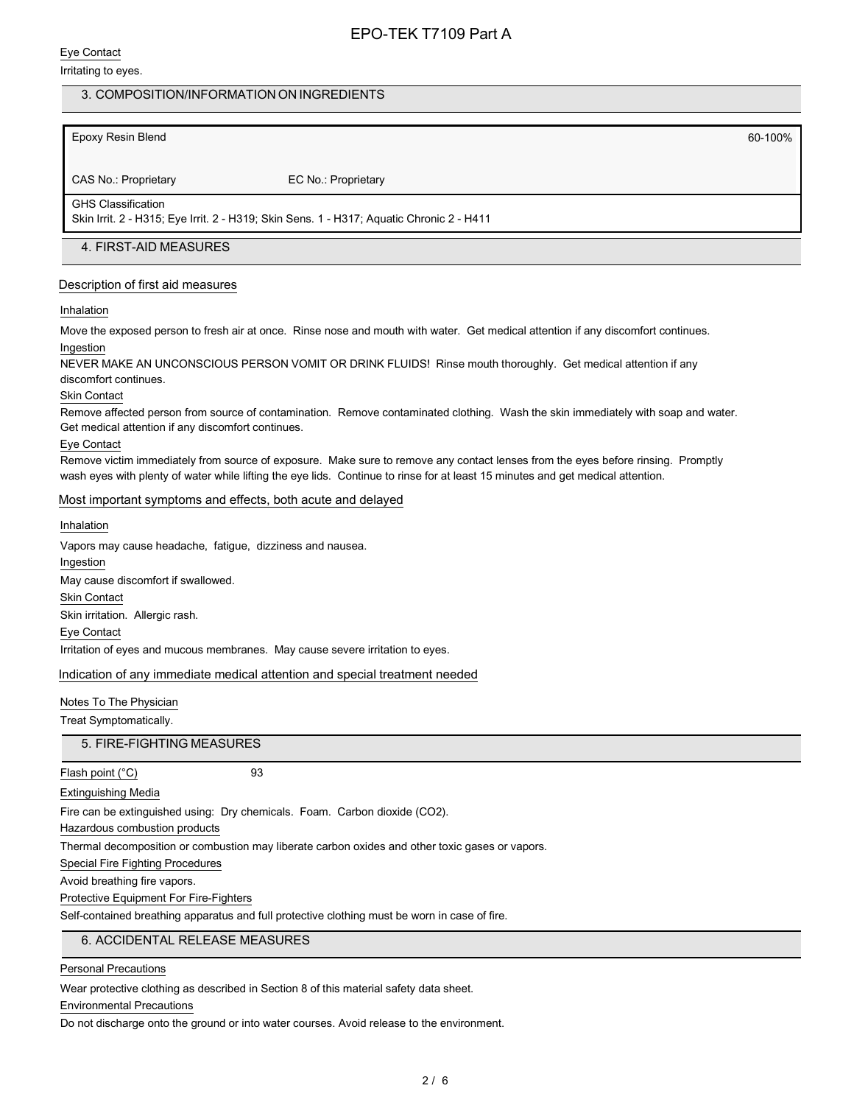### Eye Contact

#### Irritating to eyes.

## 3. COMPOSITION/INFORMATION ON INGREDIENTS

## Epoxy Resin Blend 60-100%

CAS No.: Proprietary EC No.: Proprietary

#### GHS Classification

Skin Irrit. 2 - H315; Eye Irrit. 2 - H319; Skin Sens. 1 - H317; Aquatic Chronic 2 - H411

## 4. FIRST-AID MEASURES

### Description of first aid measures

#### Inhalation

Move the exposed person to fresh air at once. Rinse nose and mouth with water. Get medical attention if any discomfort continues. Ingestion

NEVER MAKE AN UNCONSCIOUS PERSON VOMIT OR DRINK FLUIDS! Rinse mouth thoroughly. Get medical attention if any discomfort continues.

#### Skin Contact

Remove affected person from source of contamination. Remove contaminated clothing. Wash the skin immediately with soap and water. Get medical attention if any discomfort continues.

#### Eye Contact

Remove victim immediately from source of exposure. Make sure to remove any contact lenses from the eyes before rinsing. Promptly wash eyes with plenty of water while lifting the eye lids. Continue to rinse for at least 15 minutes and get medical attention.

#### Most important symptoms and effects, both acute and delayed

#### Inhalation

Vapors may cause headache, fatigue, dizziness and nausea. Ingestion May cause discomfort if swallowed. Skin Contact Skin irritation. Allergic rash. Eye Contact Irritation of eyes and mucous membranes. May cause severe irritation to eyes.

#### Indication of any immediate medical attention and special treatment needed

# Notes To The Physician

Treat Symptomatically.

### 5. FIRE-FIGHTING MEASURES

Flash point (°C) 93

Extinguishing Media

Fire can be extinguished using: Dry chemicals. Foam. Carbon dioxide (CO2).

Hazardous combustion products

Thermal decomposition or combustion may liberate carbon oxides and other toxic gases or vapors.

Special Fire Fighting Procedures

Avoid breathing fire vapors.

Protective Equipment For Fire-Fighters

Self-contained breathing apparatus and full protective clothing must be worn in case of fire.

## 6. ACCIDENTAL RELEASE MEASURES

Personal Precautions

Wear protective clothing as described in Section 8 of this material safety data sheet.

Environmental Precautions

Do not discharge onto the ground or into water courses. Avoid release to the environment.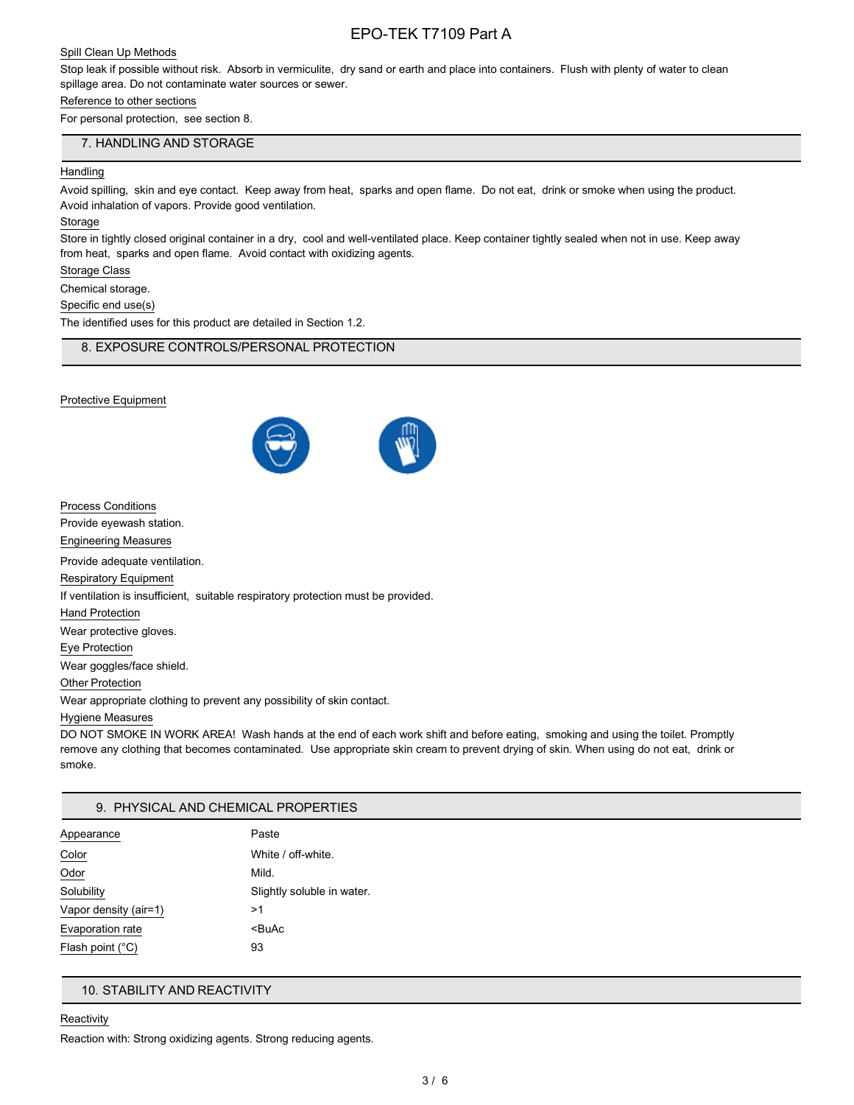## Spill Clean Up Methods

Stop leak if possible without risk. Absorb in vermiculite, dry sand or earth and place into containers. Flush with plenty of water to clean spillage area. Do not contaminate water sources or sewer.

## Reference to other sections

For personal protection, see section 8.

### 7. HANDLING AND STORAGE

### **Handling**

Avoid spilling, skin and eye contact. Keep away from heat, sparks and open flame. Do not eat, drink or smoke when using the product. Avoid inhalation of vapors. Provide good ventilation.

#### **Storage**

Store in tightly closed original container in a dry, cool and well-ventilated place. Keep container tightly sealed when not in use. Keep away from heat, sparks and open flame. Avoid contact with oxidizing agents.

Storage Class

Chemical storage.

Specific end use(s)

The identified uses for this product are detailed in Section 1.2.

## 8. EXPOSURE CONTROLS/PERSONAL PROTECTION

#### Protective Equipment



| <b>Process Conditions</b>                                                         |
|-----------------------------------------------------------------------------------|
| Provide eyewash station.                                                          |
| Engineering Measures                                                              |
| Provide adequate ventilation.                                                     |
| <b>Respiratory Equipment</b>                                                      |
| If ventilation is insufficient, suitable respiratory protection must be provided. |
| <b>Hand Protection</b>                                                            |
| Wear protective gloves.                                                           |
| Eye Protection                                                                    |
| Wear goggles/face shield.                                                         |
| <b>Other Protection</b>                                                           |
| Wear appropriate clothing to prevent any possibility of skin contact.             |
|                                                                                   |

#### Hygiene Measures

DO NOT SMOKE IN WORK AREA! Wash hands at the end of each work shift and before eating, smoking and using the toilet. Promptly remove any clothing that becomes contaminated. Use appropriate skin cream to prevent drying of skin. When using do not eat, drink or smoke.

### 9. PHYSICAL AND CHEMICAL PROPERTIES

| Appearance            | Paste                      |
|-----------------------|----------------------------|
| Color                 | White / off-white.         |
| Odor                  | Mild.                      |
| Solubility            | Slightly soluble in water. |
| Vapor density (air=1) | >1                         |
| Evaporation rate      | <buac< td=""></buac<>      |
| Flash point (°C)      | 93                         |

## 10. STABILITY AND REACTIVITY

#### **Reactivity**

Reaction with: Strong oxidizing agents. Strong reducing agents.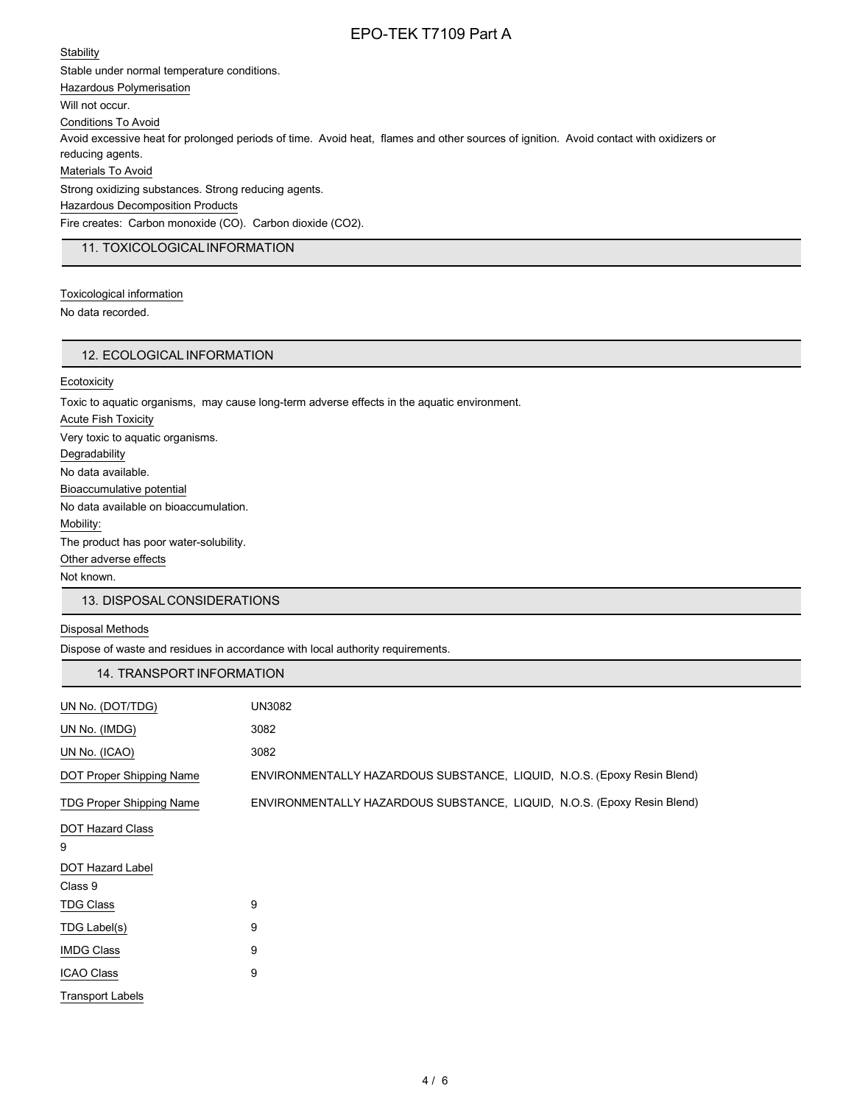### **Stability**

Stable under normal temperature conditions. Hazardous Polymerisation Will not occur. Conditions To Avoid Avoid excessive heat for prolonged periods of time. Avoid heat, flames and other sources of ignition. Avoid contact with oxidizers or reducing agents. Materials To Avoid Strong oxidizing substances. Strong reducing agents. Hazardous Decomposition Products Fire creates: Carbon monoxide (CO). Carbon dioxide (CO2).

## 11. TOXICOLOGICALINFORMATION

Toxicological information No data recorded.

### 12. ECOLOGICAL INFORMATION

**Ecotoxicity** 

Toxic to aquatic organisms, may cause long-term adverse effects in the aquatic environment. Acute Fish Toxicity Very toxic to aquatic organisms. Degradability No data available. Bioaccumulative potential No data available on bioaccumulation. Mobility: The product has poor water-solubility. Other adverse effects Not known.

#### 13. DISPOSALCONSIDERATIONS

#### Disposal Methods

Dispose of waste and residues in accordance with local authority requirements.

| 14. TRANSPORT INFORMATION       |                                                                         |
|---------------------------------|-------------------------------------------------------------------------|
| UN No. (DOT/TDG)                | <b>UN3082</b>                                                           |
| UN No. (IMDG)                   | 3082                                                                    |
| UN No. (ICAO)                   | 3082                                                                    |
| DOT Proper Shipping Name        | ENVIRONMENTALLY HAZARDOUS SUBSTANCE, LIQUID, N.O.S. (Epoxy Resin Blend) |
| <b>TDG Proper Shipping Name</b> | ENVIRONMENTALLY HAZARDOUS SUBSTANCE, LIQUID, N.O.S. (Epoxy Resin Blend) |
| DOT Hazard Class                |                                                                         |
| 9                               |                                                                         |
| <b>DOT Hazard Label</b>         |                                                                         |
| Class 9                         |                                                                         |
| <b>TDG Class</b>                | 9                                                                       |
| TDG Label(s)                    | 9                                                                       |
| <b>IMDG Class</b>               | 9                                                                       |
| <b>ICAO Class</b>               | 9                                                                       |
| Transport Labels                |                                                                         |
|                                 |                                                                         |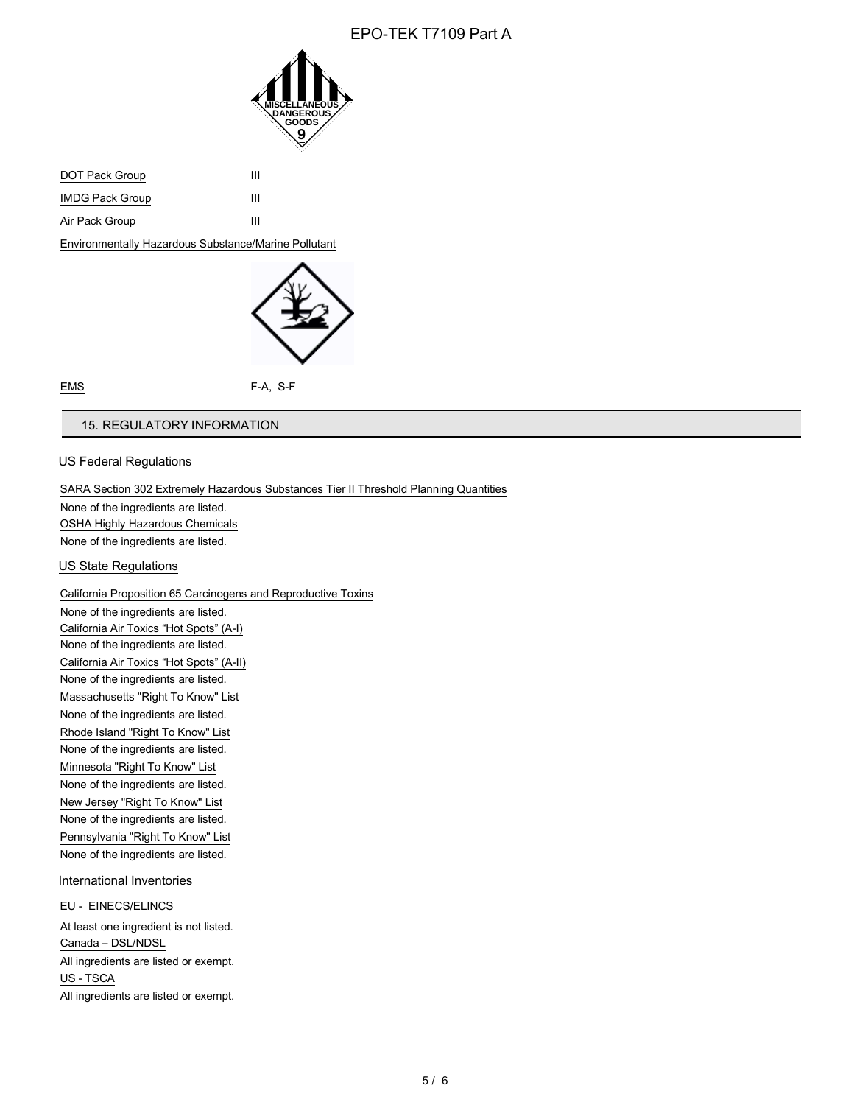

| DOT Pack Group         | ш |
|------------------------|---|
| <b>IMDG Pack Group</b> | ш |
| Air Pack Group         | ш |

Environmentally Hazardous Substance/Marine Pollutant



EMS F-A, S-F

## 15. REGULATORY INFORMATION

## US Federal Regulations

SARA Section 302 Extremely Hazardous Substances Tier II Threshold Planning Quantities

None of the ingredients are listed. OSHA Highly Hazardous Chemicals

None of the ingredients are listed.

## US State Regulations

California Proposition 65 Carcinogens and Reproductive Toxins

None of the ingredients are listed. California Air Toxics "Hot Spots" (A-I) None of the ingredients are listed. California Air Toxics "Hot Spots" (A-II) None of the ingredients are listed. Massachusetts "Right To Know" List None of the ingredients are listed. Rhode Island "Right To Know" List None of the ingredients are listed. Minnesota "Right To Know" List None of the ingredients are listed. New Jersey "Right To Know" List None of the ingredients are listed. Pennsylvania "Right To Know" List None of the ingredients are listed.

International Inventories

### EU - EINECS/ELINCS

At least one ingredient is not listed. Canada – DSL/NDSL All ingredients are listed or exempt. US - TSCA All ingredients are listed or exempt.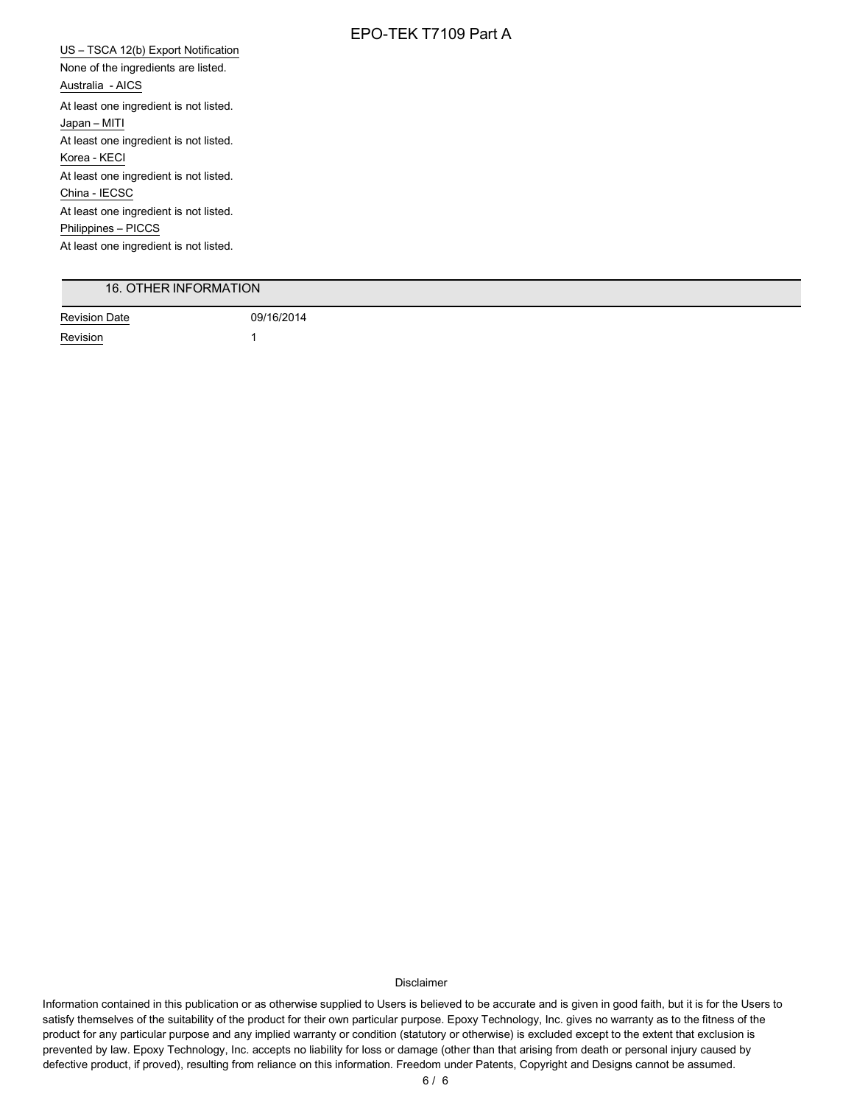US – TSCA 12(b) Export Notification None of the ingredients are listed. Australia - AICS At least one ingredient is not listed. Japan – MITI At least one ingredient is not listed. Korea - KECI At least one ingredient is not listed. China - IECSC At least one ingredient is not listed. Philippines – PICCS At least one ingredient is not listed.

## 16. OTHER INFORMATION

Revision Date 09/16/2014 Revision 1

Disclaimer

Information contained in this publication or as otherwise supplied to Users is believed to be accurate and is given in good faith, but it is for the Users to satisfy themselves of the suitability of the product for their own particular purpose. Epoxy Technology, Inc. gives no warranty as to the fitness of the product for any particular purpose and any implied warranty or condition (statutory or otherwise) is excluded except to the extent that exclusion is prevented by law. Epoxy Technology, Inc. accepts no liability for loss or damage (other than that arising from death or personal injury caused by defective product, if proved), resulting from reliance on this information. Freedom under Patents, Copyright and Designs cannot be assumed.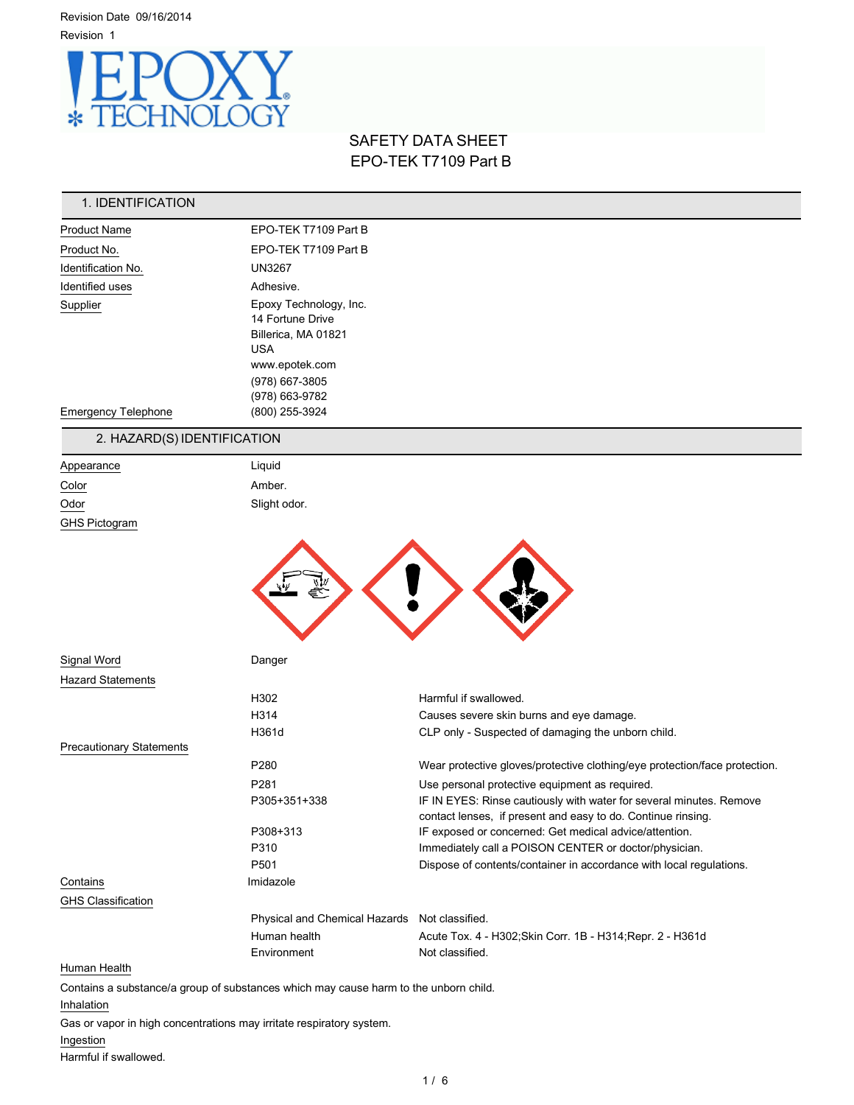Revision Date 09/16/2014



# SAFETY DATA SHEET EPO-TEK T7109 Part B

| 1. IDENTIFICATION               |                                                                                      |                                                                                                                        |
|---------------------------------|--------------------------------------------------------------------------------------|------------------------------------------------------------------------------------------------------------------------|
| <b>Product Name</b>             | EPO-TEK T7109 Part B                                                                 |                                                                                                                        |
| Product No.                     | EPO-TEK T7109 Part B                                                                 |                                                                                                                        |
| Identification No.              | <b>UN3267</b>                                                                        |                                                                                                                        |
| Identified uses                 | Adhesive.                                                                            |                                                                                                                        |
| Supplier                        | Epoxy Technology, Inc.                                                               |                                                                                                                        |
|                                 | 14 Fortune Drive                                                                     |                                                                                                                        |
|                                 | Billerica, MA 01821                                                                  |                                                                                                                        |
|                                 | <b>USA</b><br>www.epotek.com                                                         |                                                                                                                        |
|                                 | (978) 667-3805                                                                       |                                                                                                                        |
|                                 | (978) 663-9782                                                                       |                                                                                                                        |
| <b>Emergency Telephone</b>      | (800) 255-3924                                                                       |                                                                                                                        |
| 2. HAZARD(S) IDENTIFICATION     |                                                                                      |                                                                                                                        |
| Appearance                      | Liquid                                                                               |                                                                                                                        |
| Color                           | Amber.                                                                               |                                                                                                                        |
| Odor                            | Slight odor.                                                                         |                                                                                                                        |
| <b>GHS Pictogram</b>            |                                                                                      |                                                                                                                        |
| Signal Word                     | Danger                                                                               |                                                                                                                        |
| <b>Hazard Statements</b>        |                                                                                      |                                                                                                                        |
|                                 | H302                                                                                 | Harmful if swallowed.                                                                                                  |
|                                 | H314                                                                                 | Causes severe skin burns and eye damage.                                                                               |
|                                 | H361d                                                                                | CLP only - Suspected of damaging the unborn child.                                                                     |
| <b>Precautionary Statements</b> |                                                                                      |                                                                                                                        |
|                                 | P280                                                                                 | Wear protective gloves/protective clothing/eye protection/face protection.                                             |
|                                 | P281                                                                                 | Use personal protective equipment as required.                                                                         |
|                                 | P305+351+338                                                                         | IF IN EYES: Rinse cautiously with water for several minutes. Remove                                                    |
|                                 | P308+313                                                                             | contact lenses, if present and easy to do. Continue rinsing.<br>IF exposed or concerned: Get medical advice/attention. |
|                                 | P310                                                                                 | Immediately call a POISON CENTER or doctor/physician.                                                                  |
|                                 | P501                                                                                 | Dispose of contents/container in accordance with local regulations.                                                    |
| Contains                        | Imidazole                                                                            |                                                                                                                        |
| <b>GHS Classification</b>       |                                                                                      |                                                                                                                        |
|                                 | Physical and Chemical Hazards Not classified.                                        |                                                                                                                        |
|                                 | Human health                                                                         | Acute Tox. 4 - H302; Skin Corr. 1B - H314; Repr. 2 - H361d                                                             |
|                                 | Environment                                                                          | Not classified.                                                                                                        |
| Human Health                    |                                                                                      |                                                                                                                        |
|                                 | Contains a substance/a group of substances which may cause harm to the unborn child. |                                                                                                                        |
| Inhalation                      |                                                                                      |                                                                                                                        |

Gas or vapor in high concentrations may irritate respiratory system.

## Ingestion

Harmful if swallowed.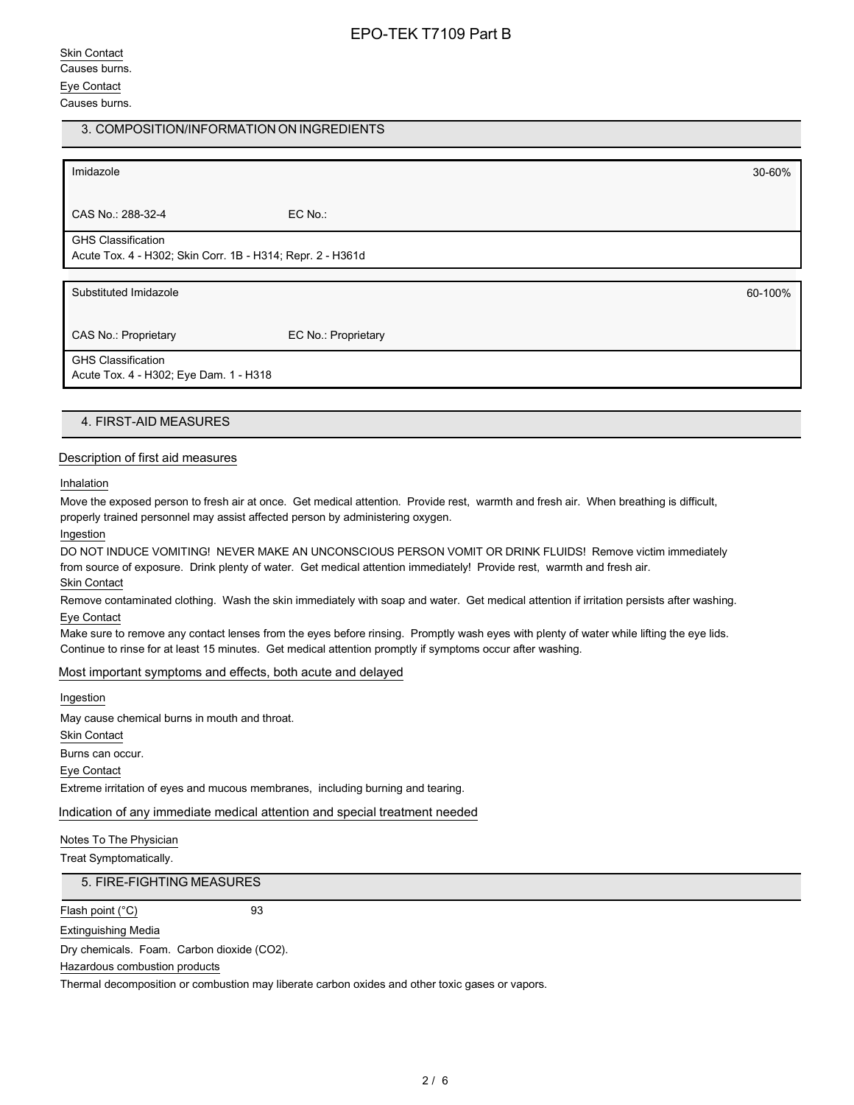## Skin Contact Causes burns. Eye Contact Causes burns.

## 3. COMPOSITION/INFORMATION ON INGREDIENTS

Imidazole 30-60% CAS No.: 288-32-4 EC No.: GHS Classification Acute Tox. 4 - H302; Skin Corr. 1B - H314; Repr. 2 - H361d Substituted Imidazole 60-100% and the substituted Imidazole 60-100% and the substituted Imidazole 60-100% and the substituted Imidazole 60-100% and the substituted Imidazole 60-100% and the substituted Imidazole 60-100% an CAS No.: Proprietary EC No.: Proprietary GHS Classification Acute Tox. 4 - H302; Eye Dam. 1 - H318

## 4. FIRST-AID MEASURES

#### Description of first aid measures

Inhalation

Move the exposed person to fresh air at once. Get medical attention. Provide rest, warmth and fresh air. When breathing is difficult, properly trained personnel may assist affected person by administering oxygen.

Ingestion

DO NOT INDUCE VOMITING! NEVER MAKE AN UNCONSCIOUS PERSON VOMIT OR DRINK FLUIDS! Remove victim immediately from source of exposure. Drink plenty of water. Get medical attention immediately! Provide rest, warmth and fresh air. Skin Contact

Remove contaminated clothing. Wash the skin immediately with soap and water. Get medical attention if irritation persists after washing. Eye Contact

Make sure to remove any contact lenses from the eyes before rinsing. Promptly wash eyes with plenty of water while lifting the eye lids. Continue to rinse for at least 15 minutes. Get medical attention promptly if symptoms occur after washing.

#### Most important symptoms and effects, both acute and delayed

Ingestion

May cause chemical burns in mouth and throat. Skin Contact Burns can occur. Eye Contact Extreme irritation of eyes and mucous membranes, including burning and tearing.

Indication of any immediate medical attention and special treatment needed

Notes To The Physician

Treat Symptomatically.

5. FIRE-FIGHTING MEASURES

Flash point (°C) 93

Extinguishing Media

Dry chemicals. Foam. Carbon dioxide (CO2).

Hazardous combustion products

Thermal decomposition or combustion may liberate carbon oxides and other toxic gases or vapors.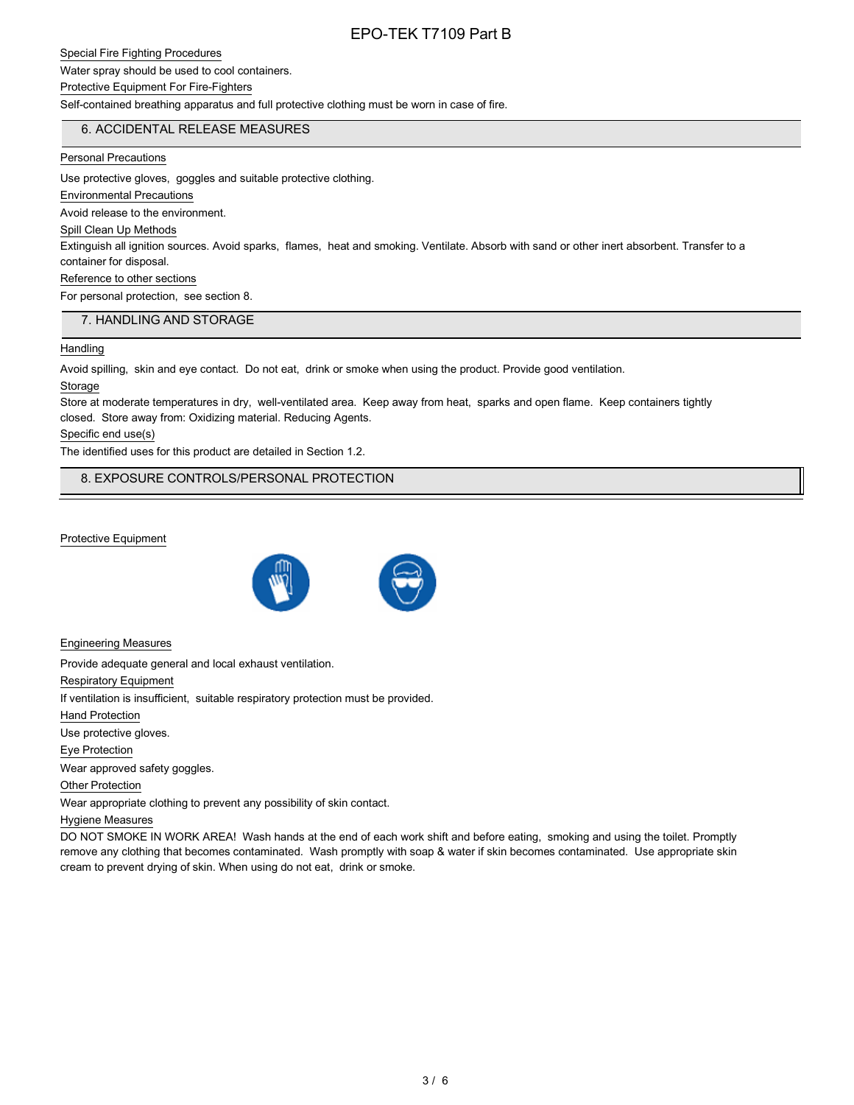### Special Fire Fighting Procedures

Water spray should be used to cool containers.

## Protective Equipment For Fire-Fighters

Self-contained breathing apparatus and full protective clothing must be worn in case of fire.

## 6. ACCIDENTAL RELEASE MEASURES

#### Personal Precautions

Use protective gloves, goggles and suitable protective clothing.

## Environmental Precautions

Avoid release to the environment.

#### Spill Clean Up Methods

Extinguish all ignition sources. Avoid sparks, flames, heat and smoking. Ventilate. Absorb with sand or other inert absorbent. Transfer to a container for disposal.

## Reference to other sections

For personal protection, see section 8.

### 7. HANDLING AND STORAGE

#### **Handling**

Avoid spilling, skin and eye contact. Do not eat, drink or smoke when using the product. Provide good ventilation.

#### Storage

Store at moderate temperatures in dry, well-ventilated area. Keep away from heat, sparks and open flame. Keep containers tightly closed. Store away from: Oxidizing material. Reducing Agents.

### Specific end use(s)

The identified uses for this product are detailed in Section 1.2.

## 8. EXPOSURE CONTROLS/PERSONAL PROTECTION

## Protective Equipment



Engineering Measures

Provide adequate general and local exhaust ventilation.

Respiratory Equipment

If ventilation is insufficient, suitable respiratory protection must be provided.

Hand Protection

Use protective gloves.

Eye Protection

Wear approved safety goggles.

Other Protection

Wear appropriate clothing to prevent any possibility of skin contact.

#### Hygiene Measures

DO NOT SMOKE IN WORK AREA! Wash hands at the end of each work shift and before eating, smoking and using the toilet. Promptly remove any clothing that becomes contaminated. Wash promptly with soap & water if skin becomes contaminated. Use appropriate skin cream to prevent drying of skin. When using do not eat, drink or smoke.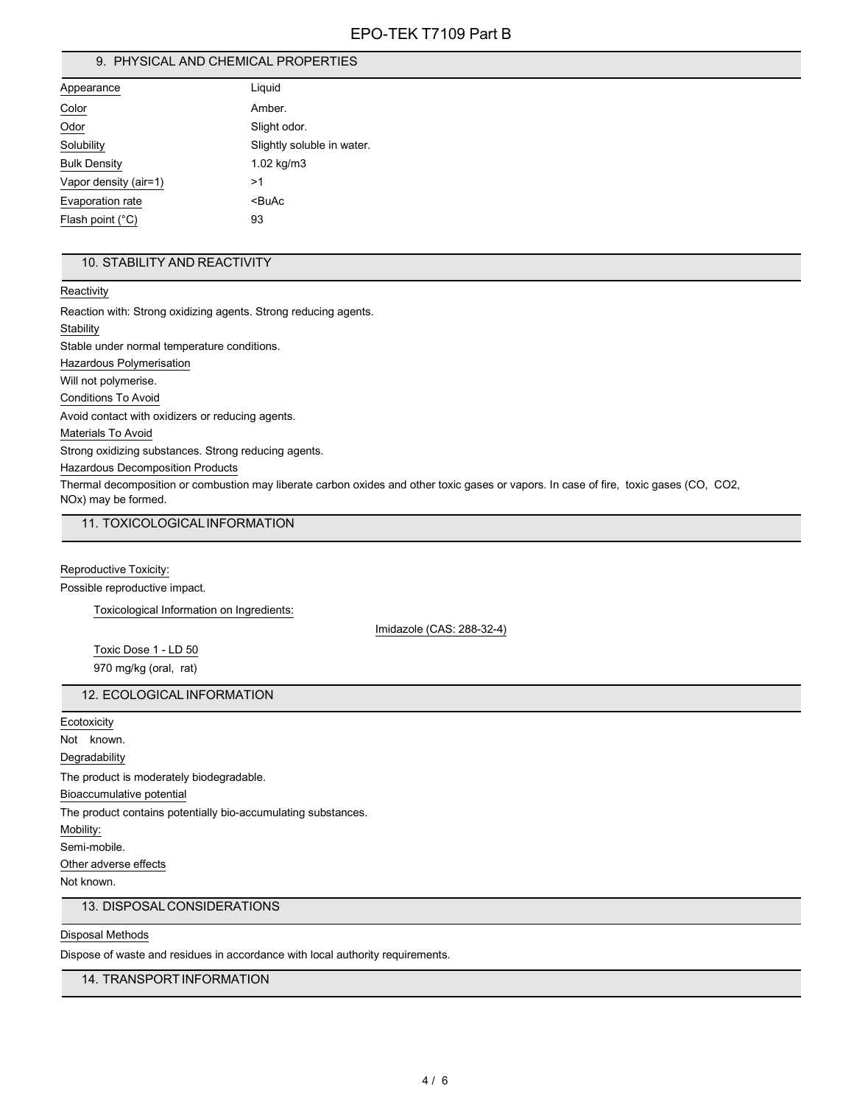## 9. PHYSICAL AND CHEMICAL PROPERTIES

| Appearance                | Liquid                     |
|---------------------------|----------------------------|
| Color                     | Amber.                     |
| Odor                      | Slight odor.               |
| Solubility                | Slightly soluble in water. |
| <b>Bulk Density</b>       | $1.02 \text{ kg/m}$ 3      |
| Vapor density (air=1)     | >1                         |
| Evaporation rate          | <buac< td=""></buac<>      |
| Flash point $(^{\circ}C)$ | 93                         |

## 10. STABILITY AND REACTIVITY

**Reactivity** 

Reaction with: Strong oxidizing agents. Strong reducing agents. **Stability** Stable under normal temperature conditions. Hazardous Polymerisation Will not polymerise. Conditions To Avoid Avoid contact with oxidizers or reducing agents. Materials To Avoid Strong oxidizing substances. Strong reducing agents. Hazardous Decomposition Products Thermal decomposition or combustion may liberate carbon oxides and other toxic gases or vapors. In case of fire, toxic gases (CO, CO2, NOx) may be formed.

11. TOXICOLOGICALINFORMATION

Reproductive Toxicity:

Possible reproductive impact.

Toxicological Information on Ingredients:

Imidazole (CAS: 288-32-4)

Toxic Dose 1 - LD 50 970 mg/kg (oral, rat)

### 12. ECOLOGICAL INFORMATION

**Ecotoxicity** 

Not known.

Degradability

The product is moderately biodegradable.

Bioaccumulative potential

The product contains potentially bio-accumulating substances.

Mobility:

Semi-mobile.

Other adverse effects

Not known.

## 13. DISPOSALCONSIDERATIONS

## Disposal Methods

Dispose of waste and residues in accordance with local authority requirements.

14. TRANSPORTINFORMATION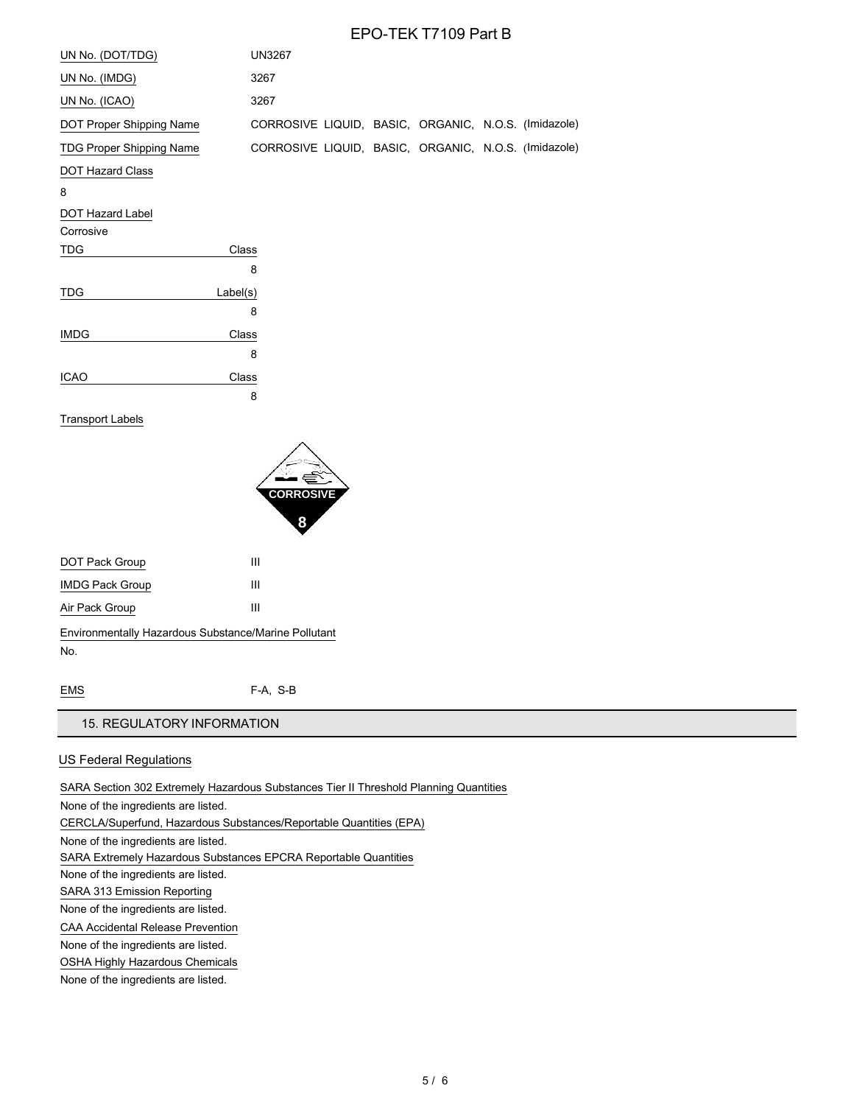| UN No. (DOT/TDG)                | <b>UN3267</b>                                        |  |  |
|---------------------------------|------------------------------------------------------|--|--|
| UN No. (IMDG)                   | 3267                                                 |  |  |
| UN No. (ICAO)                   | 3267                                                 |  |  |
| DOT Proper Shipping Name        | CORROSIVE LIQUID, BASIC, ORGANIC, N.O.S. (Imidazole) |  |  |
| <b>TDG Proper Shipping Name</b> | CORROSIVE LIQUID, BASIC, ORGANIC, N.O.S. (Imidazole) |  |  |
| <b>DOT Hazard Class</b>         |                                                      |  |  |

#### 8

DOT Hazard Label

### Corrosive

| <b>TDG</b>  | Class    |
|-------------|----------|
|             | 8        |
| <b>TDG</b>  | Label(s) |
|             | 8        |
| <b>IMDG</b> | Class    |
|             | 8        |
| <b>ICAO</b> | Class    |
|             | 8        |

### Transport Labels



| DOT Pack Group                                       | Ш |
|------------------------------------------------------|---|
| <b>IMDG Pack Group</b>                               | Ш |
| Air Pack Group                                       | Ш |
| Environmentally Hazardous Substance/Marine Pollutant |   |
| No.                                                  |   |

EMS F-A, S-B

## 15. REGULATORY INFORMATION

## US Federal Regulations

SARA Section 302 Extremely Hazardous Substances Tier II Threshold Planning Quantities

None of the ingredients are listed.

CERCLA/Superfund, Hazardous Substances/Reportable Quantities (EPA)

None of the ingredients are listed.

SARA Extremely Hazardous Substances EPCRA Reportable Quantities

None of the ingredients are listed.

SARA 313 Emission Reporting

None of the ingredients are listed.

CAA Accidental Release Prevention

None of the ingredients are listed.

OSHA Highly Hazardous Chemicals

None of the ingredients are listed.